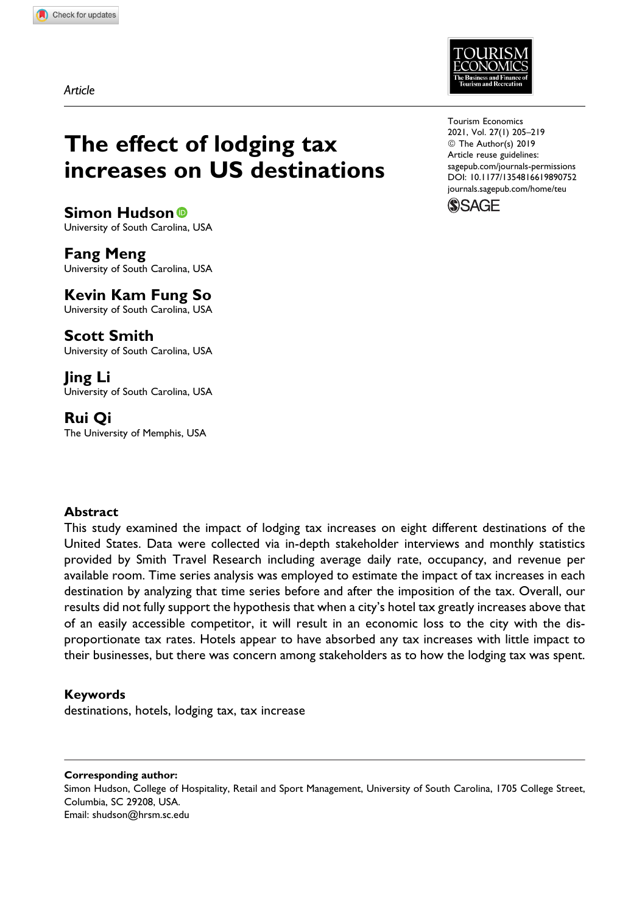# **The effect of lodging tax increases on US destinations**

## **Simon Hudson**

University of South Carolina, USA

# **Fang Meng**

University of South Carolina, USA

# **Kevin Kam Fung So**

University of South Carolina, USA

# **Scott Smith**

University of South Carolina, USA

# **Jing Li**

University of South Carolina, USA

## **Rui Qi**

The University of Memphis, USA

#### **Abstract**

This study examined the impact of lodging tax increases on eight different destinations of the United States. Data were collected via in-depth stakeholder interviews and monthly statistics provided by Smith Travel Research including average daily rate, occupancy, and revenue per available room. Time series analysis was employed to estimate the impact of tax increases in each destination by analyzing that time series before and after the imposition of the tax. Overall, our results did not fully support the hypothesis that when a city's hotel tax greatly increases above that of an easily accessible competitor, it will result in an economic loss to the city with the disproportionate tax rates. Hotels appear to have absorbed any tax increases with little impact to their businesses, but there was concern among stakeholders as to how the lodging tax was spent.

#### **Keywords**

destinations, hotels, lodging tax, tax increase

**Corresponding author:** Simon Hudson, College of Hospitality, Retail and Sport Management, University of South Carolina, 1705 College Street, Columbia, SC 29208, USA. Email: [shudson@hrsm.sc.edu](mailto:shudson@hrsm.sc.edu)

Tourism Economics 2021, Vol. 27(1) 205–219 © The Author(s) 2019 Article reuse guidelines: [sagepub.com/journals-permissions](https://sagepub.com/journals-permissions) [DOI: 10.1177/1354816619890752](https://doi.org/10.1177/1354816619890752) [journals.sagepub.com/home/teu](http://journals.sagepub.com/home/teu)

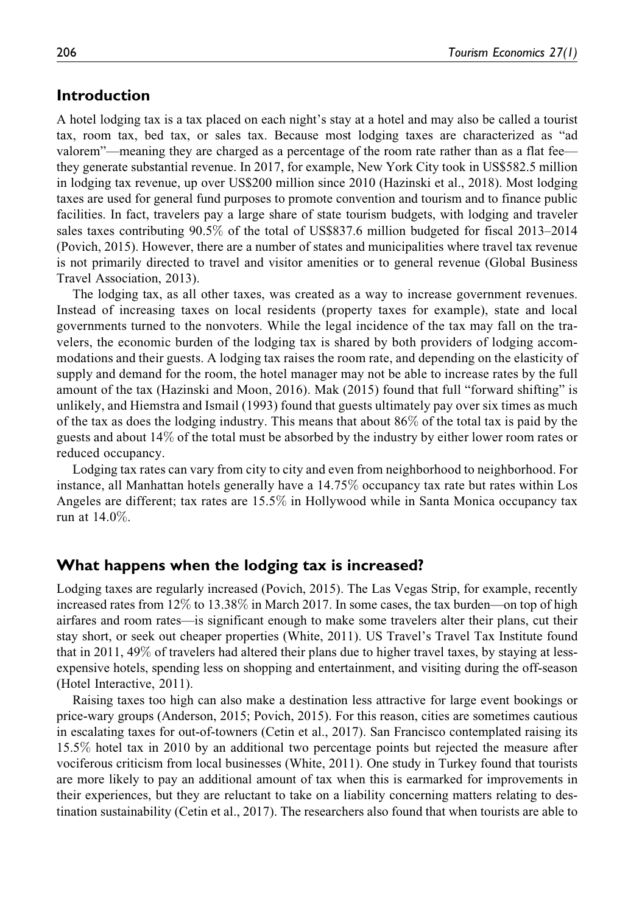# **Introduction**

A hotel lodging tax is a tax placed on each night's stay at a hotel and may also be called a tourist tax, room tax, bed tax, or sales tax. Because most lodging taxes are characterized as "ad valorem"—meaning they are charged as a percentage of the room rate rather than as a flat fee they generate substantial revenue. In 2017, for example, New York City took in US\$582.5 million in lodging tax revenue, up over US\$200 million since 2010 (Hazinski et al., 2018). Most lodging taxes are used for general fund purposes to promote convention and tourism and to finance public facilities. In fact, travelers pay a large share of state tourism budgets, with lodging and traveler sales taxes contributing 90.5% of the total of US\$837.6 million budgeted for fiscal 2013–2014 (Povich, 2015). However, there are a number of states and municipalities where travel tax revenue is not primarily directed to travel and visitor amenities or to general revenue (Global Business Travel Association, 2013).

The lodging tax, as all other taxes, was created as a way to increase government revenues. Instead of increasing taxes on local residents (property taxes for example), state and local governments turned to the nonvoters. While the legal incidence of the tax may fall on the travelers, the economic burden of the lodging tax is shared by both providers of lodging accommodations and their guests. A lodging tax raises the room rate, and depending on the elasticity of supply and demand for the room, the hotel manager may not be able to increase rates by the full amount of the tax (Hazinski and Moon, 2016). Mak (2015) found that full "forward shifting" is unlikely, and Hiemstra and Ismail (1993) found that guests ultimately pay over six times as much of the tax as does the lodging industry. This means that about 86% of the total tax is paid by the guests and about 14% of the total must be absorbed by the industry by either lower room rates or reduced occupancy.

Lodging tax rates can vary from city to city and even from neighborhood to neighborhood. For instance, all Manhattan hotels generally have a 14.75% occupancy tax rate but rates within Los Angeles are different; tax rates are 15.5% in Hollywood while in Santa Monica occupancy tax run at 14.0%.

#### **What happens when the lodging tax is increased?**

Lodging taxes are regularly increased (Povich, 2015). The Las Vegas Strip, for example, recently increased rates from 12% to 13.38% in March 2017. In some cases, the tax burden—on top of high airfares and room rates—is significant enough to make some travelers alter their plans, cut their stay short, or seek out cheaper properties (White, 2011). US Travel's Travel Tax Institute found that in 2011, 49% of travelers had altered their plans due to higher travel taxes, by staying at lessexpensive hotels, spending less on shopping and entertainment, and visiting during the off-season (Hotel Interactive, 2011).

Raising taxes too high can also make a destination less attractive for large event bookings or price-wary groups (Anderson, 2015; Povich, 2015). For this reason, cities are sometimes cautious in escalating taxes for out-of-towners (Cetin et al., 2017). San Francisco contemplated raising its 15.5% hotel tax in 2010 by an additional two percentage points but rejected the measure after vociferous criticism from local businesses (White, 2011). One study in Turkey found that tourists are more likely to pay an additional amount of tax when this is earmarked for improvements in their experiences, but they are reluctant to take on a liability concerning matters relating to destination sustainability (Cetin et al., 2017). The researchers also found that when tourists are able to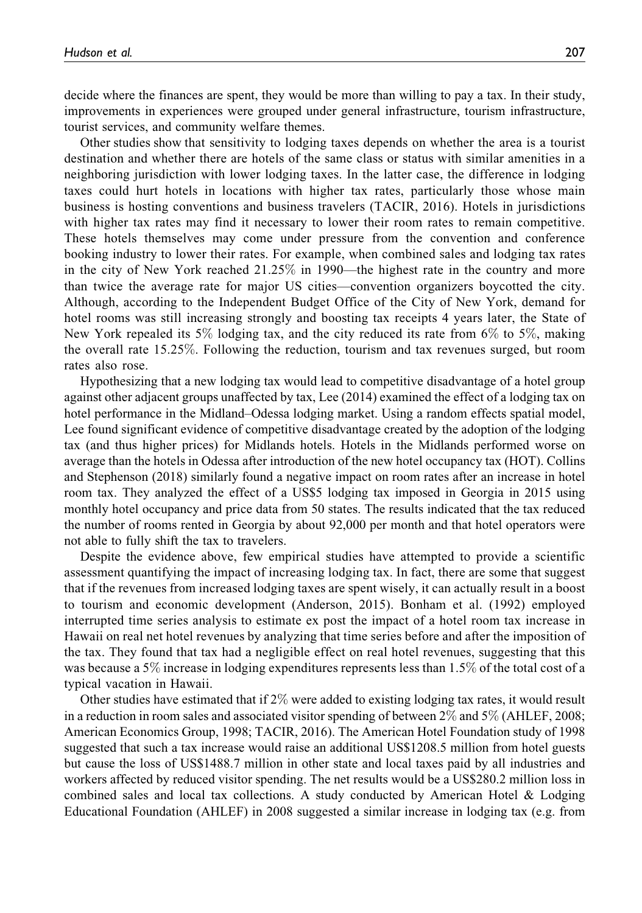decide where the finances are spent, they would be more than willing to pay a tax. In their study, improvements in experiences were grouped under general infrastructure, tourism infrastructure, tourist services, and community welfare themes.

Other studies show that sensitivity to lodging taxes depends on whether the area is a tourist destination and whether there are hotels of the same class or status with similar amenities in a neighboring jurisdiction with lower lodging taxes. In the latter case, the difference in lodging taxes could hurt hotels in locations with higher tax rates, particularly those whose main business is hosting conventions and business travelers (TACIR, 2016). Hotels in jurisdictions with higher tax rates may find it necessary to lower their room rates to remain competitive. These hotels themselves may come under pressure from the convention and conference booking industry to lower their rates. For example, when combined sales and lodging tax rates in the city of New York reached 21.25% in 1990—the highest rate in the country and more than twice the average rate for major US cities—convention organizers boycotted the city. Although, according to the Independent Budget Office of the City of New York, demand for hotel rooms was still increasing strongly and boosting tax receipts 4 years later, the State of New York repealed its 5% lodging tax, and the city reduced its rate from 6% to 5%, making the overall rate 15.25%. Following the reduction, tourism and tax revenues surged, but room rates also rose.

Hypothesizing that a new lodging tax would lead to competitive disadvantage of a hotel group against other adjacent groups unaffected by tax, Lee (2014) examined the effect of a lodging tax on hotel performance in the Midland–Odessa lodging market. Using a random effects spatial model, Lee found significant evidence of competitive disadvantage created by the adoption of the lodging tax (and thus higher prices) for Midlands hotels. Hotels in the Midlands performed worse on average than the hotels in Odessa after introduction of the new hotel occupancy tax (HOT). Collins and Stephenson (2018) similarly found a negative impact on room rates after an increase in hotel room tax. They analyzed the effect of a US\$5 lodging tax imposed in Georgia in 2015 using monthly hotel occupancy and price data from 50 states. The results indicated that the tax reduced the number of rooms rented in Georgia by about 92,000 per month and that hotel operators were not able to fully shift the tax to travelers.

Despite the evidence above, few empirical studies have attempted to provide a scientific assessment quantifying the impact of increasing lodging tax. In fact, there are some that suggest that if the revenues from increased lodging taxes are spent wisely, it can actually result in a boost to tourism and economic development (Anderson, 2015). Bonham et al. (1992) employed interrupted time series analysis to estimate ex post the impact of a hotel room tax increase in Hawaii on real net hotel revenues by analyzing that time series before and after the imposition of the tax. They found that tax had a negligible effect on real hotel revenues, suggesting that this was because a 5% increase in lodging expenditures represents less than 1.5% of the total cost of a typical vacation in Hawaii.

Other studies have estimated that if 2% were added to existing lodging tax rates, it would result in a reduction in room sales and associated visitor spending of between 2% and 5% (AHLEF, 2008; American Economics Group, 1998; TACIR, 2016). The American Hotel Foundation study of 1998 suggested that such a tax increase would raise an additional US\$1208.5 million from hotel guests but cause the loss of US\$1488.7 million in other state and local taxes paid by all industries and workers affected by reduced visitor spending. The net results would be a US\$280.2 million loss in combined sales and local tax collections. A study conducted by American Hotel & Lodging Educational Foundation (AHLEF) in 2008 suggested a similar increase in lodging tax (e.g. from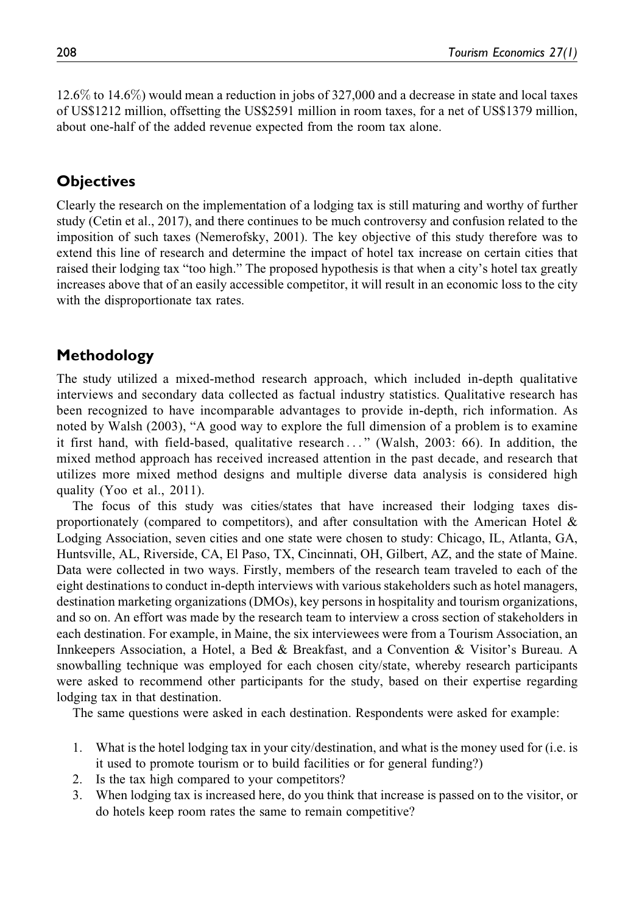12.6% to 14.6%) would mean a reduction in jobs of 327,000 and a decrease in state and local taxes of US\$1212 million, offsetting the US\$2591 million in room taxes, for a net of US\$1379 million, about one-half of the added revenue expected from the room tax alone.

# **Objectives**

Clearly the research on the implementation of a lodging tax is still maturing and worthy of further study (Cetin et al., 2017), and there continues to be much controversy and confusion related to the imposition of such taxes (Nemerofsky, 2001). The key objective of this study therefore was to extend this line of research and determine the impact of hotel tax increase on certain cities that raised their lodging tax "too high." The proposed hypothesis is that when a city's hotel tax greatly increases above that of an easily accessible competitor, it will result in an economic loss to the city with the disproportionate tax rates.

## **Methodology**

The study utilized a mixed-method research approach, which included in-depth qualitative interviews and secondary data collected as factual industry statistics. Qualitative research has been recognized to have incomparable advantages to provide in-depth, rich information. As noted by Walsh (2003), "A good way to explore the full dimension of a problem is to examine it first hand, with field-based, qualitative research ... " (Walsh, 2003: 66). In addition, the mixed method approach has received increased attention in the past decade, and research that utilizes more mixed method designs and multiple diverse data analysis is considered high quality (Yoo et al., 2011).

The focus of this study was cities/states that have increased their lodging taxes disproportionately (compared to competitors), and after consultation with the American Hotel  $\&$ Lodging Association, seven cities and one state were chosen to study: Chicago, IL, Atlanta, GA, Huntsville, AL, Riverside, CA, El Paso, TX, Cincinnati, OH, Gilbert, AZ, and the state of Maine. Data were collected in two ways. Firstly, members of the research team traveled to each of the eight destinations to conduct in-depth interviews with various stakeholders such as hotel managers, destination marketing organizations (DMOs), key persons in hospitality and tourism organizations, and so on. An effort was made by the research team to interview a cross section of stakeholders in each destination. For example, in Maine, the six interviewees were from a Tourism Association, an Innkeepers Association, a Hotel, a Bed & Breakfast, and a Convention & Visitor's Bureau. A snowballing technique was employed for each chosen city/state, whereby research participants were asked to recommend other participants for the study, based on their expertise regarding lodging tax in that destination.

The same questions were asked in each destination. Respondents were asked for example:

- 1. What is the hotel lodging tax in your city/destination, and what is the money used for (i.e. is it used to promote tourism or to build facilities or for general funding?)
- 2. Is the tax high compared to your competitors?
- 3. When lodging tax is increased here, do you think that increase is passed on to the visitor, or do hotels keep room rates the same to remain competitive?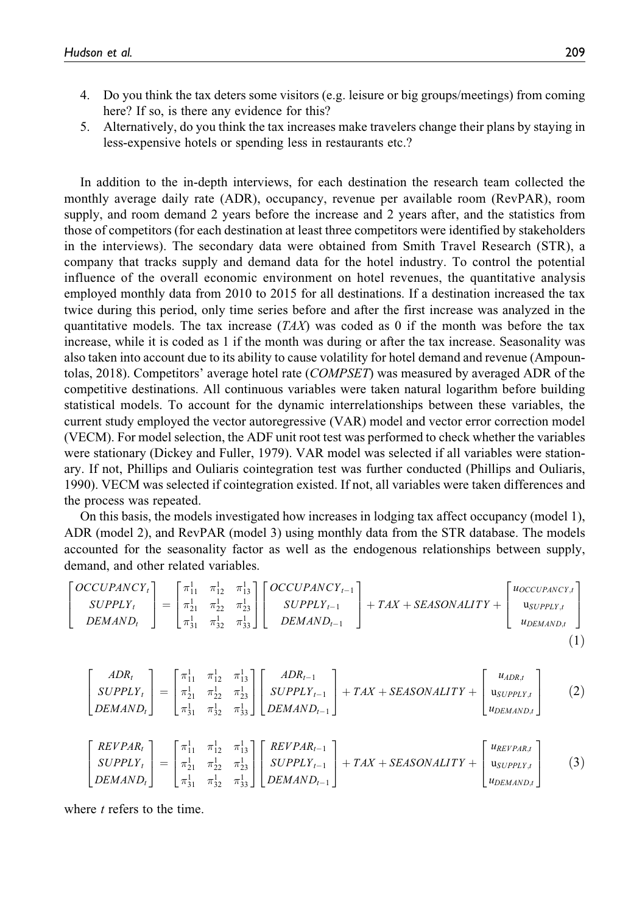- 4. Do you think the tax deters some visitors (e.g. leisure or big groups/meetings) from coming here? If so, is there any evidence for this?
- 5. Alternatively, do you think the tax increases make travelers change their plans by staying in less-expensive hotels or spending less in restaurants etc.?

In addition to the in-depth interviews, for each destination the research team collected the monthly average daily rate (ADR), occupancy, revenue per available room (RevPAR), room supply, and room demand 2 years before the increase and 2 years after, and the statistics from those of competitors (for each destination at least three competitors were identified by stakeholders in the interviews). The secondary data were obtained from Smith Travel Research (STR), a company that tracks supply and demand data for the hotel industry. To control the potential influence of the overall economic environment on hotel revenues, the quantitative analysis employed monthly data from 2010 to 2015 for all destinations. If a destination increased the tax twice during this period, only time series before and after the first increase was analyzed in the quantitative models. The tax increase  $(TAX)$  was coded as 0 if the month was before the tax increase, while it is coded as 1 if the month was during or after the tax increase. Seasonality was also taken into account due to its ability to cause volatility for hotel demand and revenue (Ampountolas, 2018). Competitors' average hotel rate (COMPSET) was measured by averaged ADR of the competitive destinations. All continuous variables were taken natural logarithm before building statistical models. To account for the dynamic interrelationships between these variables, the current study employed the vector autoregressive (VAR) model and vector error correction model (VECM). For model selection, the ADF unit root test was performed to check whether the variables were stationary (Dickey and Fuller, 1979). VAR model was selected if all variables were stationary. If not, Phillips and Ouliaris cointegration test was further conducted (Phillips and Ouliaris, 1990). VECM was selected if cointegration existed. If not, all variables were taken differences and the process was repeated.

On this basis, the models investigated how increases in lodging tax affect occupancy (model 1), ADR (model 2), and RevPAR (model 3) using monthly data from the STR database. The models accounted for the seasonality factor as well as the endogenous relationships between supply, demand, and other related variables.

OCCUPANCY<sub>t</sub>  $\mathit{SUPPLY}_t$  $DEMAND_t$  $\overline{1}$ 6 4  $\overline{1}$  $\vert$  =  $\begin{array}{ccc} \pi^1_{11} & \pi^1_{12} & \pi^1_{13} \\ \pi^1_{21} & \pi^1_{22} & \pi^1_{23} \\ \pi^1_{31} & \pi^1_{32} & \pi^1_{33} \end{array}$  $\overline{1}$  $\overline{\phantom{a}}$  $\overline{1}$  $\overline{\phantom{a}}$  $OCCUPANCY_{t-1}$  $\textit{SUPPLY}_{t-1}$  $DEMAND_{t-1}$  $\overline{1}$  $\left| \right|$  $\overline{1}$  $\Big\vert + TAX + SEASONALITY +$ u<sub>OCCUPANCY,t</sub>  $u_{SUPPLY,t}$  $u_{DEMAND,t}$  $\overline{1}$  $\overline{\phantom{a}}$  $\overline{1}$  $\overline{1}$  $\overline{1}$  $(1)$ 

$$
\begin{bmatrix}\nADR_t \\
SUPPLY_t \\
DEMAND_t\n\end{bmatrix} = \begin{bmatrix}\n\pi_{11}^1 & \pi_{12}^1 & \pi_{13}^1 \\
\pi_{21}^1 & \pi_{22}^1 & \pi_{23}^1 \\
\pi_{31}^1 & \pi_{32}^1 & \pi_{33}^1\n\end{bmatrix} \begin{bmatrix}\nADR_{t-1} \\
SUPPLY_{t-1} \\
 DEMAND_{t-1}\n\end{bmatrix} + TAX + SEASONALITY + \begin{bmatrix}\nu_{ADR,t} \\
u_{SDPPLY,t} \\
u_{DEMAND,t}\n\end{bmatrix}
$$
\n(2)

$$
\begin{bmatrix}\nREVPAR_t \\
SUPPLY_t \\
DEMAND_t\n\end{bmatrix} = \begin{bmatrix}\n\pi_{11}^1 & \pi_{12}^1 & \pi_{13}^1 \\
\pi_{21}^1 & \pi_{22}^1 & \pi_{23}^1 \\
\pi_{31}^1 & \pi_{32}^1 & \pi_{33}^1\n\end{bmatrix} \begin{bmatrix}\nREVPAR_{t-1} \\
SUPPLY_{t-1} \\
 DEMAND_{t-1}\n\end{bmatrix} + TAX + SEASONALITY + \begin{bmatrix}\nu_{REVPAR,t} \\
u_{SUPPLY,t} \\
u_{DEMAND,t}\n\end{bmatrix}
$$
\n(3)

where  $t$  refers to the time.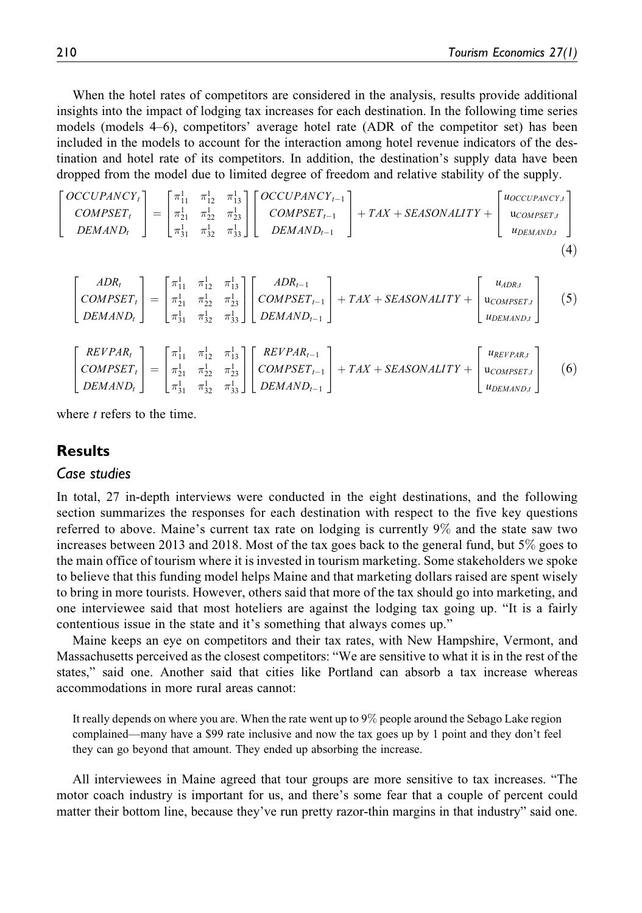When the hotel rates of competitors are considered in the analysis, results provide additional insights into the impact of lodging tax increases for each destination. In the following time series models (models 4–6), competitors' average hotel rate (ADR of the competitor set) has been included in the models to account for the interaction among hotel revenue indicators of the destination and hotel rate of its competitors. In addition, the destination's supply data have been dropped from the model due to limited degree of freedom and relative stability of the supply.

$$
\begin{bmatrix}\nOCUPANCY_t \\
COMPSET_t \\
DEMAND_t\n\end{bmatrix} = \begin{bmatrix}\n\pi_{11}^1 & \pi_{12}^1 & \pi_{13}^1 \\
\pi_{21}^1 & \pi_{22}^1 & \pi_{23}^1 \\
\pi_{31}^1 & \pi_{32}^1 & \pi_{33}^1\n\end{bmatrix} \begin{bmatrix}\nOCUPANCY_{t-1} \\
COMPSET_{t-1} \\
DEMAND_{t-1}\n\end{bmatrix} + TAX + SEASONALITY + \begin{bmatrix}\nu_{OCUPANCY,t} \\
u_{COMPSET,t} \\
u_{DEMAND,t}\n\end{bmatrix}
$$
\n(4)

$$
\begin{bmatrix} ADR_t \\ COMPSET_t \\ DEMAND_t \end{bmatrix} = \begin{bmatrix} \pi_{11}^1 & \pi_{12}^1 & \pi_{13}^1 \\ \pi_{21}^1 & \pi_{22}^1 & \pi_{23}^1 \\ \pi_{31}^1 & \pi_{32}^1 & \pi_{33}^1 \end{bmatrix} \begin{bmatrix} ADR_{t-1} \\ COMPSET_{t-1} \\ DEMAND_{t-1} \end{bmatrix} + TAX + SEASONALITY + \begin{bmatrix} u_{ADR,t} \\ u_{COMPSET,t} \\ u_{DEMAND,t} \end{bmatrix}
$$
 (5)

$$
\begin{bmatrix}\nREVPAR_t \\
COMPSET_t \\
DEMAND_t\n\end{bmatrix} = \begin{bmatrix}\n\pi_{11}^1 & \pi_{12}^1 & \pi_{13}^1 \\
\pi_{21}^1 & \pi_{22}^1 & \pi_{23}^1 \\
\pi_{31}^1 & \pi_{32}^1 & \pi_{33}^1\n\end{bmatrix} \begin{bmatrix}\nREVPAR_{t-1} \\
COMPSET_{t-1} \\
DEMAND_{t-1}\n\end{bmatrix} + TAX + SEASONALITY + \begin{bmatrix}\nu_{REVPAR,t} \\
u_{COMPSET,t} \\
u_{DEMAND,t}\n\end{bmatrix}
$$
\n(6)

where  $t$  refers to the time.

## **Results**

## *Case studies*

In total, 27 in-depth interviews were conducted in the eight destinations, and the following section summarizes the responses for each destination with respect to the five key questions referred to above. Maine's current tax rate on lodging is currently 9% and the state saw two increases between 2013 and 2018. Most of the tax goes back to the general fund, but 5% goes to the main office of tourism where it is invested in tourism marketing. Some stakeholders we spoke to believe that this funding model helps Maine and that marketing dollars raised are spent wisely to bring in more tourists. However, others said that more of the tax should go into marketing, and one interviewee said that most hoteliers are against the lodging tax going up. "It is a fairly contentious issue in the state and it's something that always comes up."

Maine keeps an eye on competitors and their tax rates, with New Hampshire, Vermont, and Massachusetts perceived as the closest competitors: "We are sensitive to what it is in the rest of the states," said one. Another said that cities like Portland can absorb a tax increase whereas accommodations in more rural areas cannot:

It really depends on where you are. When the rate went up to 9% people around the Sebago Lake region complained—many have a \$99 rate inclusive and now the tax goes up by 1 point and they don't feel they can go beyond that amount. They ended up absorbing the increase.

All interviewees in Maine agreed that tour groups are more sensitive to tax increases. "The motor coach industry is important for us, and there's some fear that a couple of percent could matter their bottom line, because they've run pretty razor-thin margins in that industry" said one.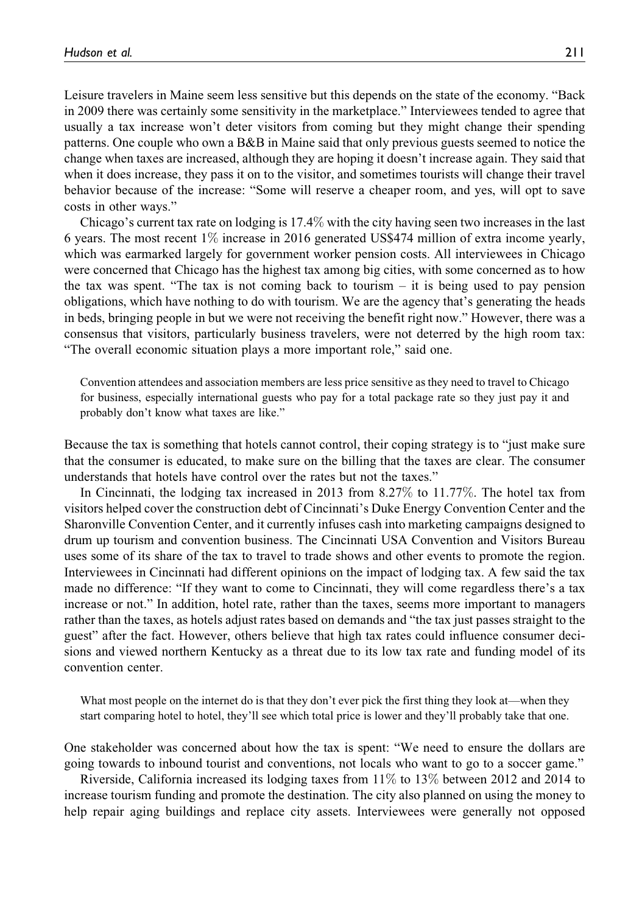Leisure travelers in Maine seem less sensitive but this depends on the state of the economy. "Back in 2009 there was certainly some sensitivity in the marketplace." Interviewees tended to agree that usually a tax increase won't deter visitors from coming but they might change their spending patterns. One couple who own a B&B in Maine said that only previous guests seemed to notice the change when taxes are increased, although they are hoping it doesn't increase again. They said that when it does increase, they pass it on to the visitor, and sometimes tourists will change their travel behavior because of the increase: "Some will reserve a cheaper room, and yes, will opt to save costs in other ways."

Chicago's current tax rate on lodging is 17.4% with the city having seen two increases in the last 6 years. The most recent 1% increase in 2016 generated US\$474 million of extra income yearly, which was earmarked largely for government worker pension costs. All interviewees in Chicago were concerned that Chicago has the highest tax among big cities, with some concerned as to how the tax was spent. "The tax is not coming back to tourism  $-$  it is being used to pay pension obligations, which have nothing to do with tourism. We are the agency that's generating the heads in beds, bringing people in but we were not receiving the benefit right now." However, there was a consensus that visitors, particularly business travelers, were not deterred by the high room tax: "The overall economic situation plays a more important role," said one.

Convention attendees and association members are less price sensitive as they need to travel to Chicago for business, especially international guests who pay for a total package rate so they just pay it and probably don't know what taxes are like."

Because the tax is something that hotels cannot control, their coping strategy is to "just make sure that the consumer is educated, to make sure on the billing that the taxes are clear. The consumer understands that hotels have control over the rates but not the taxes."

In Cincinnati, the lodging tax increased in 2013 from 8.27% to 11.77%. The hotel tax from visitors helped cover the construction debt of Cincinnati's Duke Energy Convention Center and the Sharonville Convention Center, and it currently infuses cash into marketing campaigns designed to drum up tourism and convention business. The Cincinnati USA Convention and Visitors Bureau uses some of its share of the tax to travel to trade shows and other events to promote the region. Interviewees in Cincinnati had different opinions on the impact of lodging tax. A few said the tax made no difference: "If they want to come to Cincinnati, they will come regardless there's a tax increase or not." In addition, hotel rate, rather than the taxes, seems more important to managers rather than the taxes, as hotels adjust rates based on demands and "the tax just passes straight to the guest" after the fact. However, others believe that high tax rates could influence consumer decisions and viewed northern Kentucky as a threat due to its low tax rate and funding model of its convention center.

What most people on the internet do is that they don't ever pick the first thing they look at—when they start comparing hotel to hotel, they'll see which total price is lower and they'll probably take that one.

One stakeholder was concerned about how the tax is spent: "We need to ensure the dollars are going towards to inbound tourist and conventions, not locals who want to go to a soccer game."

Riverside, California increased its lodging taxes from 11% to 13% between 2012 and 2014 to increase tourism funding and promote the destination. The city also planned on using the money to help repair aging buildings and replace city assets. Interviewees were generally not opposed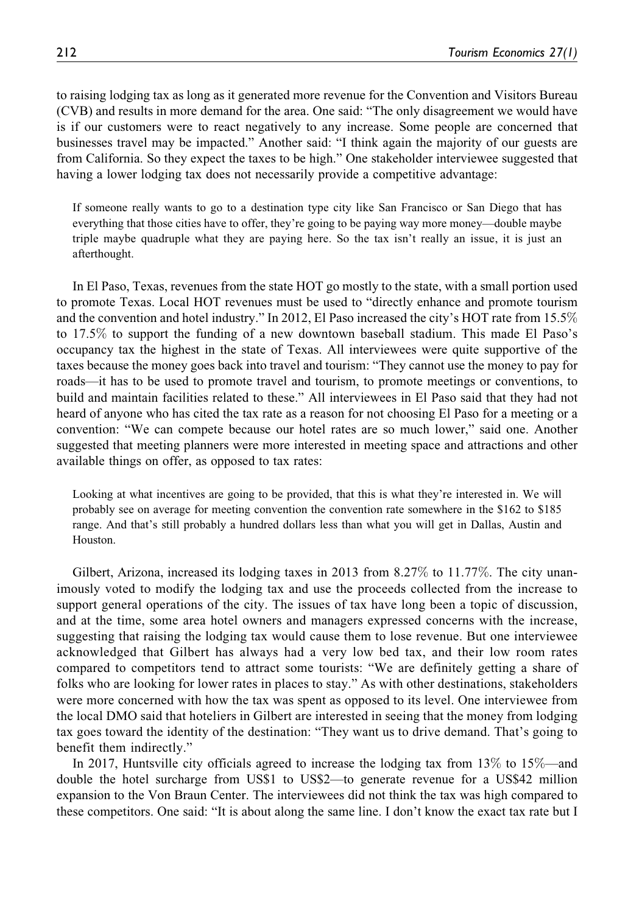to raising lodging tax as long as it generated more revenue for the Convention and Visitors Bureau (CVB) and results in more demand for the area. One said: "The only disagreement we would have is if our customers were to react negatively to any increase. Some people are concerned that businesses travel may be impacted." Another said: "I think again the majority of our guests are from California. So they expect the taxes to be high." One stakeholder interviewee suggested that having a lower lodging tax does not necessarily provide a competitive advantage:

If someone really wants to go to a destination type city like San Francisco or San Diego that has everything that those cities have to offer, they're going to be paying way more money—double maybe triple maybe quadruple what they are paying here. So the tax isn't really an issue, it is just an afterthought.

In El Paso, Texas, revenues from the state HOT go mostly to the state, with a small portion used to promote Texas. Local HOT revenues must be used to "directly enhance and promote tourism and the convention and hotel industry." In 2012, El Paso increased the city's HOT rate from 15.5% to 17.5% to support the funding of a new downtown baseball stadium. This made El Paso's occupancy tax the highest in the state of Texas. All interviewees were quite supportive of the taxes because the money goes back into travel and tourism: "They cannot use the money to pay for roads—it has to be used to promote travel and tourism, to promote meetings or conventions, to build and maintain facilities related to these." All interviewees in El Paso said that they had not heard of anyone who has cited the tax rate as a reason for not choosing El Paso for a meeting or a convention: "We can compete because our hotel rates are so much lower," said one. Another suggested that meeting planners were more interested in meeting space and attractions and other available things on offer, as opposed to tax rates:

Looking at what incentives are going to be provided, that this is what they're interested in. We will probably see on average for meeting convention the convention rate somewhere in the \$162 to \$185 range. And that's still probably a hundred dollars less than what you will get in Dallas, Austin and Houston.

Gilbert, Arizona, increased its lodging taxes in 2013 from 8.27% to 11.77%. The city unanimously voted to modify the lodging tax and use the proceeds collected from the increase to support general operations of the city. The issues of tax have long been a topic of discussion, and at the time, some area hotel owners and managers expressed concerns with the increase, suggesting that raising the lodging tax would cause them to lose revenue. But one interviewee acknowledged that Gilbert has always had a very low bed tax, and their low room rates compared to competitors tend to attract some tourists: "We are definitely getting a share of folks who are looking for lower rates in places to stay." As with other destinations, stakeholders were more concerned with how the tax was spent as opposed to its level. One interviewee from the local DMO said that hoteliers in Gilbert are interested in seeing that the money from lodging tax goes toward the identity of the destination: "They want us to drive demand. That's going to benefit them indirectly."

In 2017, Huntsville city officials agreed to increase the lodging tax from 13% to 15%—and double the hotel surcharge from US\$1 to US\$2—to generate revenue for a US\$42 million expansion to the Von Braun Center. The interviewees did not think the tax was high compared to these competitors. One said: "It is about along the same line. I don't know the exact tax rate but I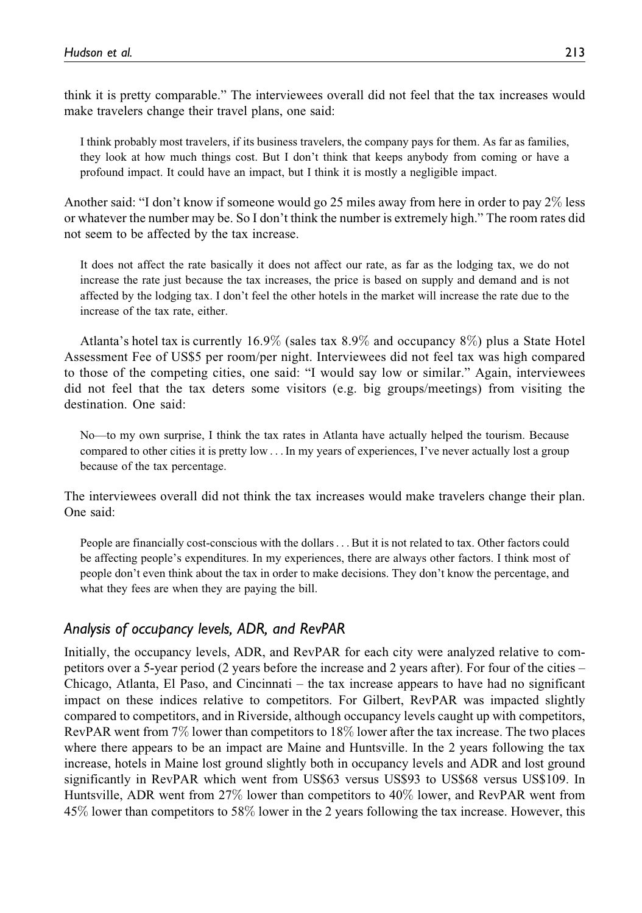think it is pretty comparable." The interviewees overall did not feel that the tax increases would make travelers change their travel plans, one said:

I think probably most travelers, if its business travelers, the company pays for them. As far as families, they look at how much things cost. But I don't think that keeps anybody from coming or have a profound impact. It could have an impact, but I think it is mostly a negligible impact.

Another said: "I don't know if someone would go 25 miles away from here in order to pay 2% less or whatever the number may be. So I don't think the number is extremely high." The room rates did not seem to be affected by the tax increase.

It does not affect the rate basically it does not affect our rate, as far as the lodging tax, we do not increase the rate just because the tax increases, the price is based on supply and demand and is not affected by the lodging tax. I don't feel the other hotels in the market will increase the rate due to the increase of the tax rate, either.

Atlanta's hotel tax is currently 16.9% (sales tax 8.9% and occupancy 8%) plus a State Hotel Assessment Fee of US\$5 per room/per night. Interviewees did not feel tax was high compared to those of the competing cities, one said: "I would say low or similar." Again, interviewees did not feel that the tax deters some visitors (e.g. big groups/meetings) from visiting the destination. One said:

No—to my own surprise, I think the tax rates in Atlanta have actually helped the tourism. Because compared to other cities it is pretty low ... In my years of experiences, I've never actually lost a group because of the tax percentage.

The interviewees overall did not think the tax increases would make travelers change their plan. One said:

People are financially cost-conscious with the dollars...But it is not related to tax. Other factors could be affecting people's expenditures. In my experiences, there are always other factors. I think most of people don't even think about the tax in order to make decisions. They don't know the percentage, and what they fees are when they are paying the bill.

# *Analysis of occupancy levels, ADR, and RevPAR*

Initially, the occupancy levels, ADR, and RevPAR for each city were analyzed relative to competitors over a 5-year period (2 years before the increase and 2 years after). For four of the cities – Chicago, Atlanta, El Paso, and Cincinnati – the tax increase appears to have had no significant impact on these indices relative to competitors. For Gilbert, RevPAR was impacted slightly compared to competitors, and in Riverside, although occupancy levels caught up with competitors, RevPAR went from 7% lower than competitors to 18% lower after the tax increase. The two places where there appears to be an impact are Maine and Huntsville. In the 2 years following the tax increase, hotels in Maine lost ground slightly both in occupancy levels and ADR and lost ground significantly in RevPAR which went from US\$63 versus US\$93 to US\$68 versus US\$109. In Huntsville, ADR went from 27% lower than competitors to 40% lower, and RevPAR went from 45% lower than competitors to 58% lower in the 2 years following the tax increase. However, this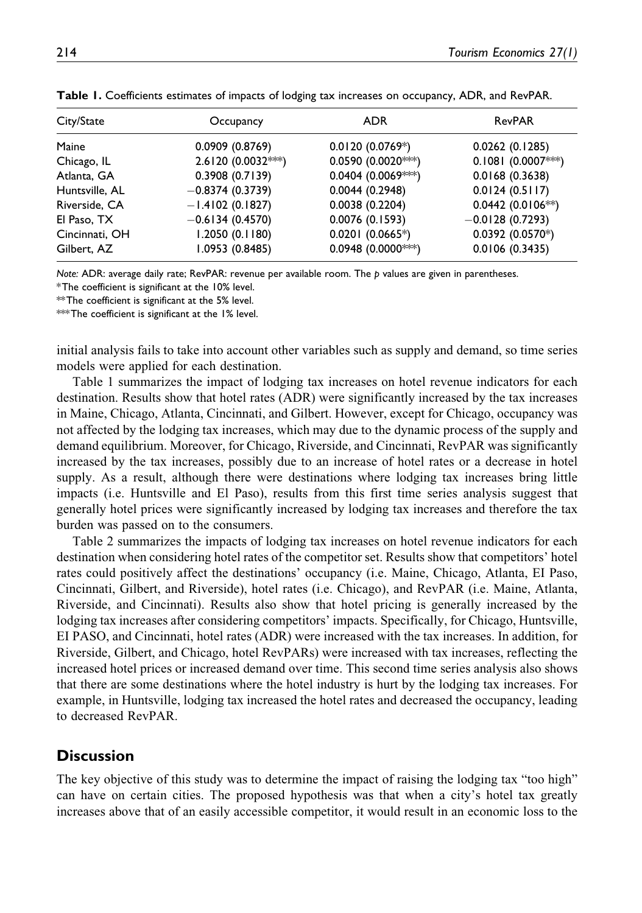| City/State     | Occupancy          | <b>ADR</b>             | <b>RevPAR</b>      |
|----------------|--------------------|------------------------|--------------------|
| Maine          | 0.0909(0.8769)     | $0.0120(0.0769*)$      | 0.0262(0.1285)     |
| Chicago, IL    | $2.6120(0.0032**)$ | $0.0590(0.0020**)$     | $0.1081(0.0007**)$ |
| Atlanta, GA    | 0.3908(0.7139)     | $0.0404(0.0069^{***})$ | 0.0168(0.3638)     |
| Huntsville, AL | $-0.8374(0.3739)$  | 0.0044(0.2948)         | 0.0124(0.5117)     |
| Riverside, CA  | $-1.4102(0.1827)$  | 0.0038(0.2204)         | $0.0442(0.0106**)$ |
| El Paso, TX    | $-0.6134(0.4570)$  | 0.0076(0.1593)         | $-0.0128(0.7293)$  |
| Cincinnati, OH | 1.2050(0.1180)     | $0.0201(0.0665*)$      | $0.0392(0.0570*)$  |
| Gilbert, AZ    | 1.0953 (0.8485)    | $0.0948$ (0.0000***)   | 0.0106(0.3435)     |

**Table 1.** Coefficients estimates of impacts of lodging tax increases on occupancy, ADR, and RevPAR.

*Note:* ADR: average daily rate; RevPAR: revenue per available room. The *p* values are given in parentheses. \*The coefficient is significant at the 10% level.

\*\* The coefficient is significant at the 5% level.

\*\*\*The coefficient is significant at the 1% level.

initial analysis fails to take into account other variables such as supply and demand, so time series models were applied for each destination.

Table 1 summarizes the impact of lodging tax increases on hotel revenue indicators for each destination. Results show that hotel rates (ADR) were significantly increased by the tax increases in Maine, Chicago, Atlanta, Cincinnati, and Gilbert. However, except for Chicago, occupancy was not affected by the lodging tax increases, which may due to the dynamic process of the supply and demand equilibrium. Moreover, for Chicago, Riverside, and Cincinnati, RevPAR was significantly increased by the tax increases, possibly due to an increase of hotel rates or a decrease in hotel supply. As a result, although there were destinations where lodging tax increases bring little impacts (i.e. Huntsville and El Paso), results from this first time series analysis suggest that generally hotel prices were significantly increased by lodging tax increases and therefore the tax burden was passed on to the consumers.

Table 2 summarizes the impacts of lodging tax increases on hotel revenue indicators for each destination when considering hotel rates of the competitor set. Results show that competitors' hotel rates could positively affect the destinations' occupancy (i.e. Maine, Chicago, Atlanta, EI Paso, Cincinnati, Gilbert, and Riverside), hotel rates (i.e. Chicago), and RevPAR (i.e. Maine, Atlanta, Riverside, and Cincinnati). Results also show that hotel pricing is generally increased by the lodging tax increases after considering competitors' impacts. Specifically, for Chicago, Huntsville, EI PASO, and Cincinnati, hotel rates (ADR) were increased with the tax increases. In addition, for Riverside, Gilbert, and Chicago, hotel RevPARs) were increased with tax increases, reflecting the increased hotel prices or increased demand over time. This second time series analysis also shows that there are some destinations where the hotel industry is hurt by the lodging tax increases. For example, in Huntsville, lodging tax increased the hotel rates and decreased the occupancy, leading to decreased RevPAR.

# **Discussion**

The key objective of this study was to determine the impact of raising the lodging tax "too high" can have on certain cities. The proposed hypothesis was that when a city's hotel tax greatly increases above that of an easily accessible competitor, it would result in an economic loss to the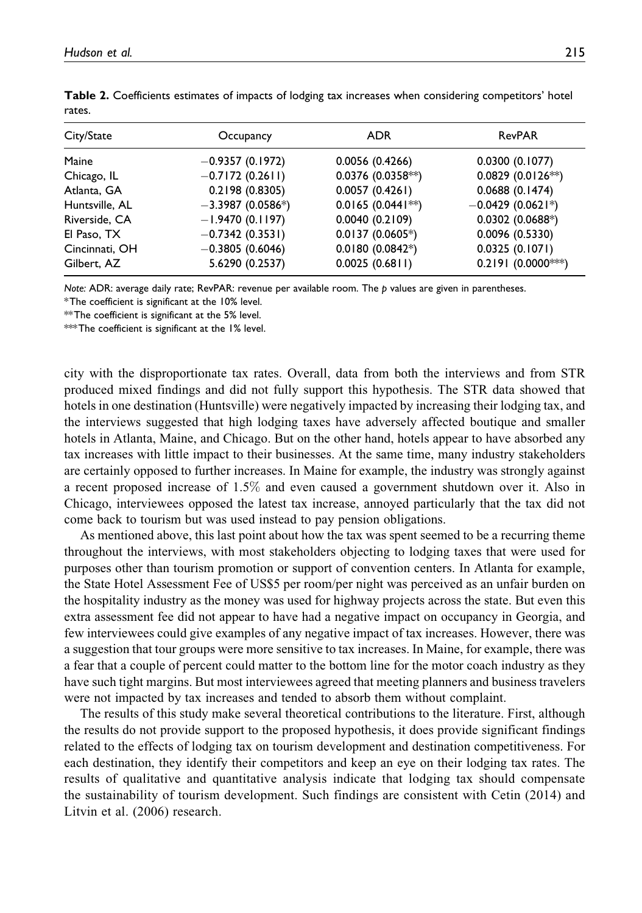| City/State     | Occupancy          | <b>ADR</b>         | <b>RevPAR</b>       |
|----------------|--------------------|--------------------|---------------------|
| Maine          | $-0.9357(0.1972)$  | 0.0056(0.4266)     | 0.0300(0.1077)      |
| Chicago, IL    | $-0.7172(0.2611)$  | $0.0376(0.0358**)$ | $0.0829(0.0126**)$  |
| Atlanta, GA    | 0.2198(0.8305)     | 0.0057(0.4261)     | 0.0688(0.1474)      |
| Huntsville, AL | $-3.3987(0.0586*)$ | $0.0165(0.0441**)$ | $-0.0429$ (0.0621*) |
| Riverside, CA  | $-1.9470(0.1197)$  | 0.0040(0.2109)     | $0.0302(0.0688*)$   |
| El Paso, TX    | $-0.7342(0.3531)$  | $0.0137(0.0605*)$  | 0.0096(0.5330)      |
| Cincinnati, OH | $-0.3805(0.6046)$  | $0.0180(0.0842*)$  | 0.0325(0.1071)      |
| Gilbert, AZ    | 5.6290 (0.2537)    | 0.0025(0.6811)     | $0.2191(0.0000**)$  |

**Table 2.** Coefficients estimates of impacts of lodging tax increases when considering competitors' hotel rates.

*Note:* ADR: average daily rate; RevPAR: revenue per available room. The *p* values are given in parentheses.

\*The coefficient is significant at the 10% level.

\*\* The coefficient is significant at the 5% level.

\*\*\*The coefficient is significant at the 1% level.

city with the disproportionate tax rates. Overall, data from both the interviews and from STR produced mixed findings and did not fully support this hypothesis. The STR data showed that hotels in one destination (Huntsville) were negatively impacted by increasing their lodging tax, and the interviews suggested that high lodging taxes have adversely affected boutique and smaller hotels in Atlanta, Maine, and Chicago. But on the other hand, hotels appear to have absorbed any tax increases with little impact to their businesses. At the same time, many industry stakeholders are certainly opposed to further increases. In Maine for example, the industry was strongly against a recent proposed increase of 1.5% and even caused a government shutdown over it. Also in Chicago, interviewees opposed the latest tax increase, annoyed particularly that the tax did not come back to tourism but was used instead to pay pension obligations.

As mentioned above, this last point about how the tax was spent seemed to be a recurring theme throughout the interviews, with most stakeholders objecting to lodging taxes that were used for purposes other than tourism promotion or support of convention centers. In Atlanta for example, the State Hotel Assessment Fee of US\$5 per room/per night was perceived as an unfair burden on the hospitality industry as the money was used for highway projects across the state. But even this extra assessment fee did not appear to have had a negative impact on occupancy in Georgia, and few interviewees could give examples of any negative impact of tax increases. However, there was a suggestion that tour groups were more sensitive to tax increases. In Maine, for example, there was a fear that a couple of percent could matter to the bottom line for the motor coach industry as they have such tight margins. But most interviewees agreed that meeting planners and business travelers were not impacted by tax increases and tended to absorb them without complaint.

The results of this study make several theoretical contributions to the literature. First, although the results do not provide support to the proposed hypothesis, it does provide significant findings related to the effects of lodging tax on tourism development and destination competitiveness. For each destination, they identify their competitors and keep an eye on their lodging tax rates. The results of qualitative and quantitative analysis indicate that lodging tax should compensate the sustainability of tourism development. Such findings are consistent with Cetin (2014) and Litvin et al. (2006) research.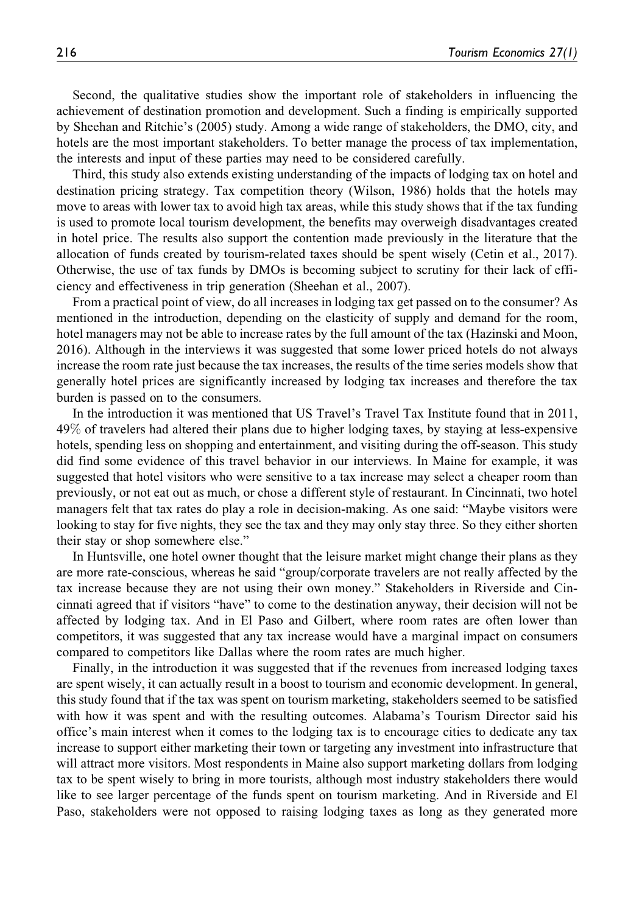Second, the qualitative studies show the important role of stakeholders in influencing the achievement of destination promotion and development. Such a finding is empirically supported by Sheehan and Ritchie's (2005) study. Among a wide range of stakeholders, the DMO, city, and hotels are the most important stakeholders. To better manage the process of tax implementation, the interests and input of these parties may need to be considered carefully.

Third, this study also extends existing understanding of the impacts of lodging tax on hotel and destination pricing strategy. Tax competition theory (Wilson, 1986) holds that the hotels may move to areas with lower tax to avoid high tax areas, while this study shows that if the tax funding is used to promote local tourism development, the benefits may overweigh disadvantages created in hotel price. The results also support the contention made previously in the literature that the allocation of funds created by tourism-related taxes should be spent wisely (Cetin et al., 2017). Otherwise, the use of tax funds by DMOs is becoming subject to scrutiny for their lack of efficiency and effectiveness in trip generation (Sheehan et al., 2007).

From a practical point of view, do all increases in lodging tax get passed on to the consumer? As mentioned in the introduction, depending on the elasticity of supply and demand for the room, hotel managers may not be able to increase rates by the full amount of the tax (Hazinski and Moon, 2016). Although in the interviews it was suggested that some lower priced hotels do not always increase the room rate just because the tax increases, the results of the time series models show that generally hotel prices are significantly increased by lodging tax increases and therefore the tax burden is passed on to the consumers.

In the introduction it was mentioned that US Travel's Travel Tax Institute found that in 2011, 49% of travelers had altered their plans due to higher lodging taxes, by staying at less-expensive hotels, spending less on shopping and entertainment, and visiting during the off-season. This study did find some evidence of this travel behavior in our interviews. In Maine for example, it was suggested that hotel visitors who were sensitive to a tax increase may select a cheaper room than previously, or not eat out as much, or chose a different style of restaurant. In Cincinnati, two hotel managers felt that tax rates do play a role in decision-making. As one said: "Maybe visitors were looking to stay for five nights, they see the tax and they may only stay three. So they either shorten their stay or shop somewhere else."

In Huntsville, one hotel owner thought that the leisure market might change their plans as they are more rate-conscious, whereas he said "group/corporate travelers are not really affected by the tax increase because they are not using their own money." Stakeholders in Riverside and Cincinnati agreed that if visitors "have" to come to the destination anyway, their decision will not be affected by lodging tax. And in El Paso and Gilbert, where room rates are often lower than competitors, it was suggested that any tax increase would have a marginal impact on consumers compared to competitors like Dallas where the room rates are much higher.

Finally, in the introduction it was suggested that if the revenues from increased lodging taxes are spent wisely, it can actually result in a boost to tourism and economic development. In general, this study found that if the tax was spent on tourism marketing, stakeholders seemed to be satisfied with how it was spent and with the resulting outcomes. Alabama's Tourism Director said his office's main interest when it comes to the lodging tax is to encourage cities to dedicate any tax increase to support either marketing their town or targeting any investment into infrastructure that will attract more visitors. Most respondents in Maine also support marketing dollars from lodging tax to be spent wisely to bring in more tourists, although most industry stakeholders there would like to see larger percentage of the funds spent on tourism marketing. And in Riverside and El Paso, stakeholders were not opposed to raising lodging taxes as long as they generated more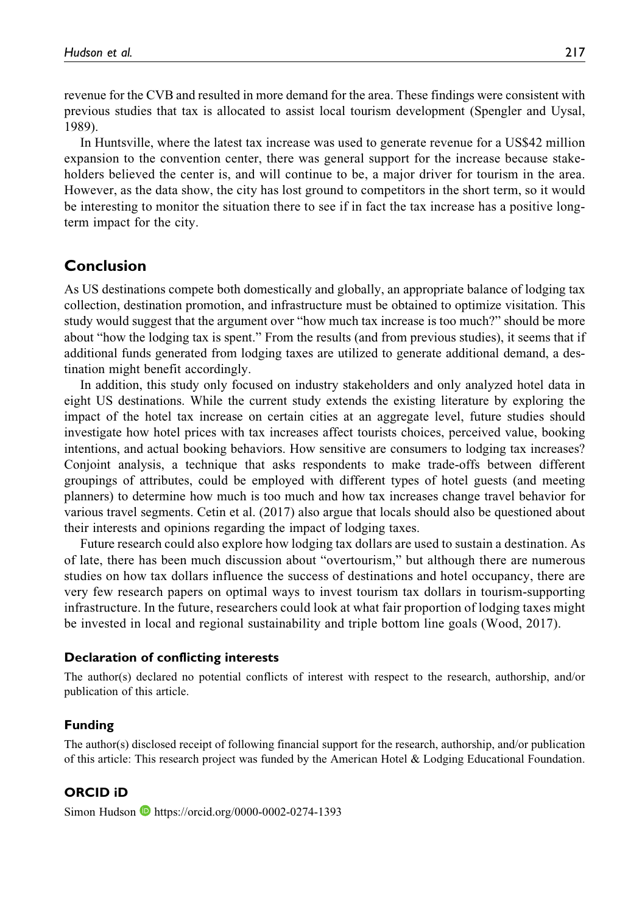revenue for the CVB and resulted in more demand for the area. These findings were consistent with previous studies that tax is allocated to assist local tourism development (Spengler and Uysal, 1989).

In Huntsville, where the latest tax increase was used to generate revenue for a US\$42 million expansion to the convention center, there was general support for the increase because stakeholders believed the center is, and will continue to be, a major driver for tourism in the area. However, as the data show, the city has lost ground to competitors in the short term, so it would be interesting to monitor the situation there to see if in fact the tax increase has a positive longterm impact for the city.

## **Conclusion**

As US destinations compete both domestically and globally, an appropriate balance of lodging tax collection, destination promotion, and infrastructure must be obtained to optimize visitation. This study would suggest that the argument over "how much tax increase is too much?" should be more about "how the lodging tax is spent." From the results (and from previous studies), it seems that if additional funds generated from lodging taxes are utilized to generate additional demand, a destination might benefit accordingly.

In addition, this study only focused on industry stakeholders and only analyzed hotel data in eight US destinations. While the current study extends the existing literature by exploring the impact of the hotel tax increase on certain cities at an aggregate level, future studies should investigate how hotel prices with tax increases affect tourists choices, perceived value, booking intentions, and actual booking behaviors. How sensitive are consumers to lodging tax increases? Conjoint analysis, a technique that asks respondents to make trade-offs between different groupings of attributes, could be employed with different types of hotel guests (and meeting planners) to determine how much is too much and how tax increases change travel behavior for various travel segments. Cetin et al. (2017) also argue that locals should also be questioned about their interests and opinions regarding the impact of lodging taxes.

Future research could also explore how lodging tax dollars are used to sustain a destination. As of late, there has been much discussion about "overtourism," but although there are numerous studies on how tax dollars influence the success of destinations and hotel occupancy, there are very few research papers on optimal ways to invest tourism tax dollars in tourism-supporting infrastructure. In the future, researchers could look at what fair proportion of lodging taxes might be invested in local and regional sustainability and triple bottom line goals (Wood, 2017).

#### **Declaration of conflicting interests**

The author(s) declared no potential conflicts of interest with respect to the research, authorship, and/or publication of this article.

#### **Funding**

The author(s) disclosed receipt of following financial support for the research, authorship, and/or publication of this article: This research project was funded by the American Hotel & Lodging Educational Foundation.

#### **ORCID iD**

Simon Hudson **b** <https://orcid.org/0000-0002-0274-1393>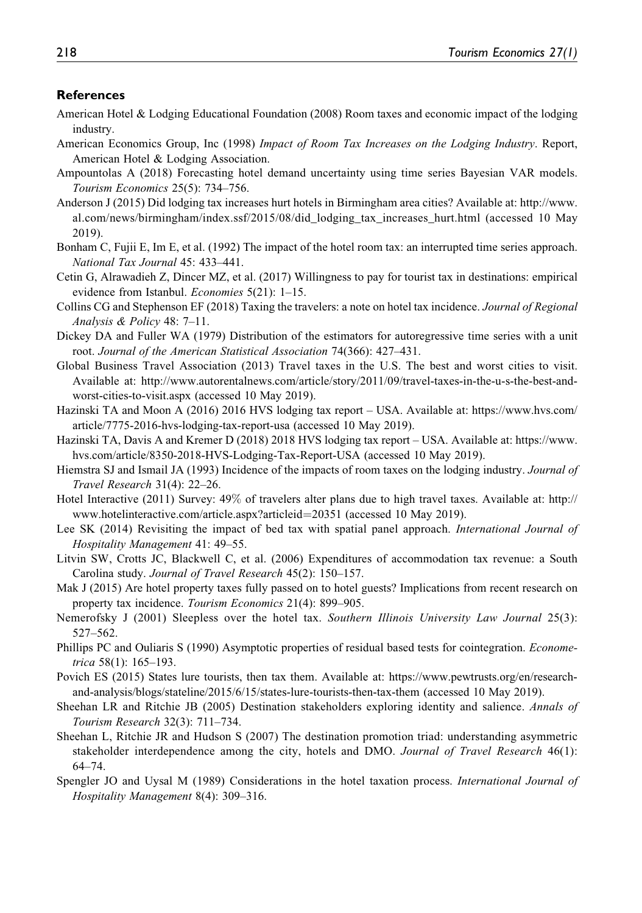#### **References**

- American Hotel & Lodging Educational Foundation (2008) Room taxes and economic impact of the lodging industry.
- American Economics Group, Inc (1998) Impact of Room Tax Increases on the Lodging Industry. Report, American Hotel & Lodging Association.
- Ampountolas A (2018) Forecasting hotel demand uncertainty using time series Bayesian VAR models. Tourism Economics 25(5): 734–756.
- Anderson J (2015) Did lodging tax increases hurt hotels in Birmingham area cities? Available at: [http://www.](http://www.al.com/news/birmingham/index.ssf/2015/08/did_lodging_tax_increases_hurt.html) [al.com/news/birmingham/index.ssf/2015/08/did\\_lodging\\_tax\\_increases\\_hurt.html](http://www.al.com/news/birmingham/index.ssf/2015/08/did_lodging_tax_increases_hurt.html) (accessed 10 May 2019).
- Bonham C, Fujii E, Im E, et al. (1992) The impact of the hotel room tax: an interrupted time series approach. National Tax Journal 45: 433–441.
- Cetin G, Alrawadieh Z, Dincer MZ, et al. (2017) Willingness to pay for tourist tax in destinations: empirical evidence from Istanbul. Economies 5(21): 1–15.
- Collins CG and Stephenson EF (2018) Taxing the travelers: a note on hotel tax incidence. Journal of Regional Analysis & Policy 48: 7–11.
- Dickey DA and Fuller WA (1979) Distribution of the estimators for autoregressive time series with a unit root. Journal of the American Statistical Association 74(366): 427–431.
- Global Business Travel Association (2013) Travel taxes in the U.S. The best and worst cities to visit. Available at: [http://www.autorentalnews.com/article/story/2011/09/travel-taxes-in-the-u-s-the-best-and](http://www.autorentalnews.com/article/story/2011/09/travel-taxes-in-the-u-s-the-best-and-worst-cities-to-visit.aspx)[worst-cities-to-visit.aspx](http://www.autorentalnews.com/article/story/2011/09/travel-taxes-in-the-u-s-the-best-and-worst-cities-to-visit.aspx) (accessed 10 May 2019).
- Hazinski TA and Moon A (2016) 2016 HVS lodging tax report USA. Available at: [https://www.hvs.com/](https://www.hvs.com/article/7775-2016-hvs-lodging-tax-report-usa) [article/7775-2016-hvs-lodging-tax-report-usa](https://www.hvs.com/article/7775-2016-hvs-lodging-tax-report-usa) (accessed 10 May 2019).
- Hazinski TA, Davis A and Kremer D (2018) 2018 HVS lodging tax report USA. Available at: [https://www.](https://www.hvs.com/article/8350-2018-HVS-Lodging-Tax-Report-USA) [hvs.com/article/8350-2018-HVS-Lodging-Tax-Report-USA](https://www.hvs.com/article/8350-2018-HVS-Lodging-Tax-Report-USA) (accessed 10 May 2019).
- Hiemstra SJ and Ismail JA (1993) Incidence of the impacts of room taxes on the lodging industry. Journal of Travel Research 31(4): 22–26.
- Hotel Interactive (2011) Survey: 49% of travelers alter plans due to high travel taxes. Available at: [http://](http://www.hotelinteractive.com/article.aspx?articleid=20351) [www.hotelinteractive.com/article.aspx?articleid](http://www.hotelinteractive.com/article.aspx?articleid=20351)=[20351](http://www.hotelinteractive.com/article.aspx?articleid=20351) (accessed 10 May 2019).
- Lee SK (2014) Revisiting the impact of bed tax with spatial panel approach. International Journal of Hospitality Management 41: 49–55.
- Litvin SW, Crotts JC, Blackwell C, et al. (2006) Expenditures of accommodation tax revenue: a South Carolina study. Journal of Travel Research 45(2): 150–157.
- Mak J (2015) Are hotel property taxes fully passed on to hotel guests? Implications from recent research on property tax incidence. Tourism Economics 21(4): 899–905.
- Nemerofsky J (2001) Sleepless over the hotel tax. Southern Illinois University Law Journal 25(3): 527–562.
- Phillips PC and Ouliaris S (1990) Asymptotic properties of residual based tests for cointegration. Econometrica 58(1): 165–193.
- Povich ES (2015) States lure tourists, then tax them. Available at: [https://www.pewtrusts.org/en/research](https://www.pewtrusts.org/en/research-and-analysis/blogs/stateline/2015/6/15/states-lure-tourists-then-tax-them)[and-analysis/blogs/stateline/2015/6/15/states-lure-tourists-then-tax-them](https://www.pewtrusts.org/en/research-and-analysis/blogs/stateline/2015/6/15/states-lure-tourists-then-tax-them) (accessed 10 May 2019).
- Sheehan LR and Ritchie JB (2005) Destination stakeholders exploring identity and salience. Annals of Tourism Research 32(3): 711–734.
- Sheehan L, Ritchie JR and Hudson S (2007) The destination promotion triad: understanding asymmetric stakeholder interdependence among the city, hotels and DMO. Journal of Travel Research 46(1): 64–74.
- Spengler JO and Uysal M (1989) Considerations in the hotel taxation process. International Journal of Hospitality Management 8(4): 309–316.